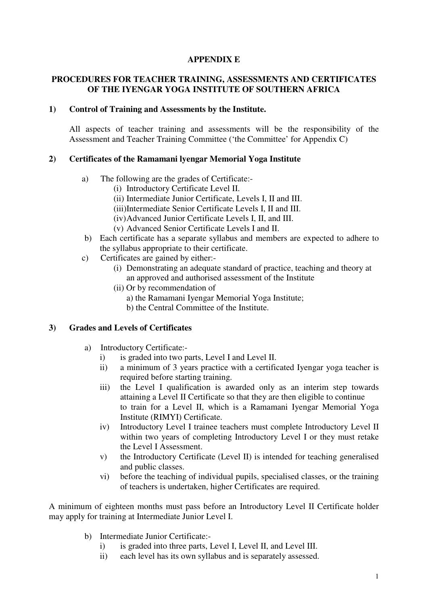### **APPENDIX E**

### **PROCEDURES FOR TEACHER TRAINING, ASSESSMENTS AND CERTIFICATES OF THE IYENGAR YOGA INSTITUTE OF SOUTHERN AFRICA**

### **1) Control of Training and Assessments by the Institute.**

All aspects of teacher training and assessments will be the responsibility of the Assessment and Teacher Training Committee ('the Committee' for Appendix C)

### **2) Certificates of the Ramamani lyengar Memorial Yoga Institute**

- a) The following are the grades of Certificate:-
	- (i) Introductory Certificate Level II.
	- (ii) Intermediate Junior Certificate, Levels I, II and III.
	- (iii)Intermediate Senior Certificate Levels I, II and III.
	- (iv)Advanced Junior Certificate Levels I, II, and III.
	- (v) Advanced Senior Certificate Levels I and II.
- b) Each certificate has a separate syllabus and members are expected to adhere to the syllabus appropriate to their certificate.
- c) Certificates are gained by either:-
	- (i) Demonstrating an adequate standard of practice, teaching and theory at an approved and authorised assessment of the Institute
	- (ii) Or by recommendation of
		- a) the Ramamani Iyengar Memorial Yoga Institute;
		- b) the Central Committee of the Institute.

### **3) Grades and Levels of Certificates**

- a) Introductory Certificate:
	- i) is graded into two parts, Level I and Level II.
	- ii) a minimum of 3 years practice with a certificated Iyengar yoga teacher is required before starting training.
	- iii) the Level I qualification is awarded only as an interim step towards attaining a Level II Certificate so that they are then eligible to continue to train for a Level II, which is a Ramamani Iyengar Memorial Yoga Institute (RIMYI) Certificate.
	- iv) Introductory Level I trainee teachers must complete Introductory Level II within two years of completing Introductory Level I or they must retake the Level I Assessment.
	- v) the Introductory Certificate (Level II) is intended for teaching generalised and public classes.
	- vi) before the teaching of individual pupils, specialised classes, or the training of teachers is undertaken, higher Certificates are required.

A minimum of eighteen months must pass before an Introductory Level II Certificate holder may apply for training at Intermediate Junior Level I.

- b) Intermediate Junior Certificate:
	- i) is graded into three parts, Level I, Level II, and Level III.
	- ii) each level has its own syllabus and is separately assessed.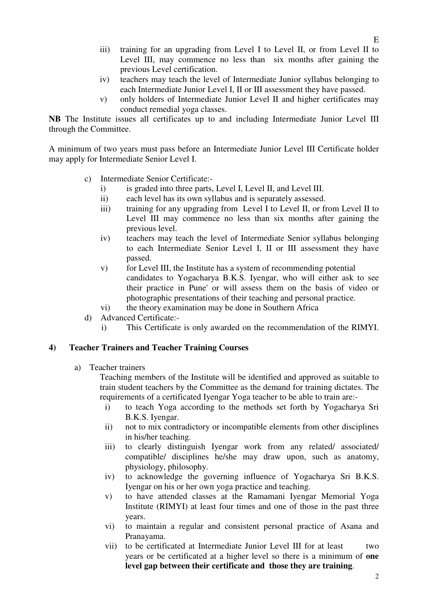- iii) training for an upgrading from Level I to Level II, or from Level II to Level III, may commence no less than six months after gaining the previous Level certification.
- iv) teachers may teach the level of Intermediate Junior syllabus belonging to each Intermediate Junior Level I, II or III assessment they have passed.
- v) only holders of Intermediate Junior Level II and higher certificates may conduct remedial yoga classes.

**NB** The Institute issues all certificates up to and including Intermediate Junior Level III through the Committee.

A minimum of two years must pass before an Intermediate Junior Level III Certificate holder may apply for Intermediate Senior Level I.

- c) Intermediate Senior Certificate:
	- i) is graded into three parts, Level I, Level II, and Level III.
	- ii) each level has its own syllabus and is separately assessed.
	- iii) training for any upgrading from Level I to Level II, or from Level II to Level III may commence no less than six months after gaining the previous level.
	- iv) teachers may teach the level of Intermediate Senior syllabus belonging to each Intermediate Senior Level I, II or III assessment they have passed.
	- v) for Level III, the Institute has a system of recommending potential candidates to Yogacharya B.K.S. Iyengar, who will either ask to see their practice in Pune' or will assess them on the basis of video or photographic presentations of their teaching and personal practice.
	- vi) the theory examination may be done in Southern Africa
- d) Advanced Certificate:
	- i) This Certificate is only awarded on the recommendation of the RIMYI.

### **4) Teacher Trainers and Teacher Training Courses**

a) Teacher trainers

Teaching members of the Institute will be identified and approved as suitable to train student teachers by the Committee as the demand for training dictates. The requirements of a certificated Iyengar Yoga teacher to be able to train are:-

- i) to teach Yoga according to the methods set forth by Yogacharya Sri B.K.S. Iyengar.
- ii) not to mix contradictory or incompatible elements from other disciplines in his/her teaching.
- iii) to clearly distinguish Iyengar work from any related/ associated/ compatible/ disciplines he/she may draw upon, such as anatomy, physiology, philosophy.
- iv) to acknowledge the governing influence of Yogacharya Sri B.K.S. Iyengar on his or her own yoga practice and teaching.
- v) to have attended classes at the Ramamani Iyengar Memorial Yoga Institute (RIMYI) at least four times and one of those in the past three years.
- vi) to maintain a regular and consistent personal practice of Asana and Pranayama.
- vii) to be certificated at Intermediate Junior Level III for at least two years or be certificated at a higher level so there is a minimum of **one level gap between their certificate and those they are training**.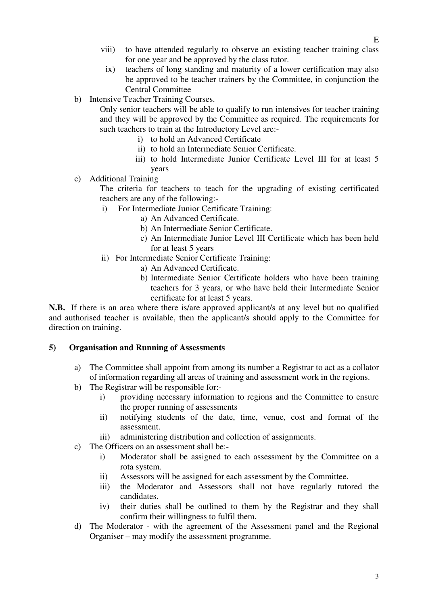- viii) to have attended regularly to observe an existing teacher training class for one year and be approved by the class tutor.
	- ix) teachers of long standing and maturity of a lower certification may also be approved to be teacher trainers by the Committee, in conjunction the Central Committee
- b) Intensive Teacher Training Courses.

Only senior teachers will be able to qualify to run intensives for teacher training and they will be approved by the Committee as required. The requirements for such teachers to train at the Introductory Level are:-

- i) to hold an Advanced Certificate
- ii) to hold an Intermediate Senior Certificate.
- iii) to hold Intermediate Junior Certificate Level III for at least 5 years
- c) Additional Training

The criteria for teachers to teach for the upgrading of existing certificated teachers are any of the following:-

- i) For Intermediate Junior Certificate Training:
	- a) An Advanced Certificate.
	- b) An Intermediate Senior Certificate.
	- c) An Intermediate Junior Level III Certificate which has been held for at least 5 years
- ii) For Intermediate Senior Certificate Training:
	- a) An Advanced Certificate.
	- b) Intermediate Senior Certificate holders who have been training teachers for 3 years, or who have held their Intermediate Senior certificate for at least 5 years.

**N.B.** If there is an area where there is/are approved applicant/s at any level but no qualified and authorised teacher is available, then the applicant/s should apply to the Committee for direction on training.

### **5) Organisation and Running of Assessments**

- a) The Committee shall appoint from among its number a Registrar to act as a collator of information regarding all areas of training and assessment work in the regions.
- b) The Registrar will be responsible for:
	- i) providing necessary information to regions and the Committee to ensure the proper running of assessments
	- ii) notifying students of the date, time, venue, cost and format of the assessment.
	- iii) administering distribution and collection of assignments.
- c) The Officers on an assessment shall be:
	- i) Moderator shall be assigned to each assessment by the Committee on a rota system.
	- ii) Assessors will be assigned for each assessment by the Committee.
	- iii) the Moderator and Assessors shall not have regularly tutored the candidates.
	- iv) their duties shall be outlined to them by the Registrar and they shall confirm their willingness to fulfil them.
- d) The Moderator with the agreement of the Assessment panel and the Regional Organiser – may modify the assessment programme.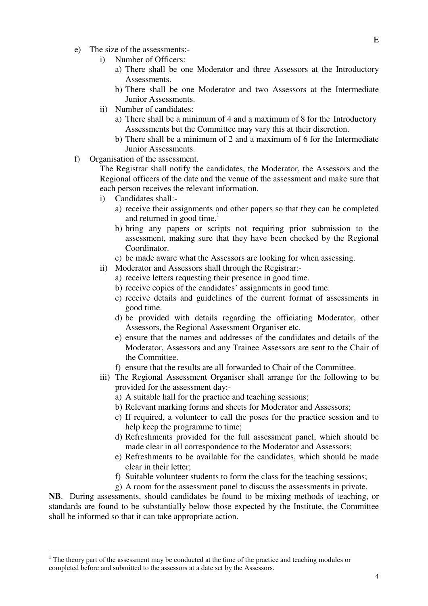- e) The size of the assessments:
	- i) Number of Officers:
		- a) There shall be one Moderator and three Assessors at the Introductory **Assessments**
		- b) There shall be one Moderator and two Assessors at the Intermediate Junior Assessments.
	- ii) Number of candidates:
		- a) There shall be a minimum of 4 and a maximum of 8 for the Introductory Assessments but the Committee may vary this at their discretion.
		- b) There shall be a minimum of 2 and a maximum of 6 for the Intermediate Junior Assessments.
- f) Organisation of the assessment.

The Registrar shall notify the candidates, the Moderator, the Assessors and the Regional officers of the date and the venue of the assessment and make sure that each person receives the relevant information.

- i) Candidates shall:
	- a) receive their assignments and other papers so that they can be completed and returned in good time.<sup>1</sup>
	- b) bring any papers or scripts not requiring prior submission to the assessment, making sure that they have been checked by the Regional Coordinator.
	- c) be made aware what the Assessors are looking for when assessing.
- ii) Moderator and Assessors shall through the Registrar:
	- a) receive letters requesting their presence in good time.
	- b) receive copies of the candidates' assignments in good time.
	- c) receive details and guidelines of the current format of assessments in good time.
	- d) be provided with details regarding the officiating Moderator, other Assessors, the Regional Assessment Organiser etc.
	- e) ensure that the names and addresses of the candidates and details of the Moderator, Assessors and any Trainee Assessors are sent to the Chair of the Committee.
	- f) ensure that the results are all forwarded to Chair of the Committee.
- iii) The Regional Assessment Organiser shall arrange for the following to be provided for the assessment day:
	- a) A suitable hall for the practice and teaching sessions;
	- b) Relevant marking forms and sheets for Moderator and Assessors;
	- c) If required, a volunteer to call the poses for the practice session and to help keep the programme to time;
	- d) Refreshments provided for the full assessment panel, which should be made clear in all correspondence to the Moderator and Assessors;
	- e) Refreshments to be available for the candidates, which should be made clear in their letter;
	- f) Suitable volunteer students to form the class for the teaching sessions;
	- g) A room for the assessment panel to discuss the assessments in private.

**NB**. During assessments, should candidates be found to be mixing methods of teaching, or standards are found to be substantially below those expected by the Institute, the Committee shall be informed so that it can take appropriate action.

 $\overline{a}$ 

E

 $1$  The theory part of the assessment may be conducted at the time of the practice and teaching modules or completed before and submitted to the assessors at a date set by the Assessors.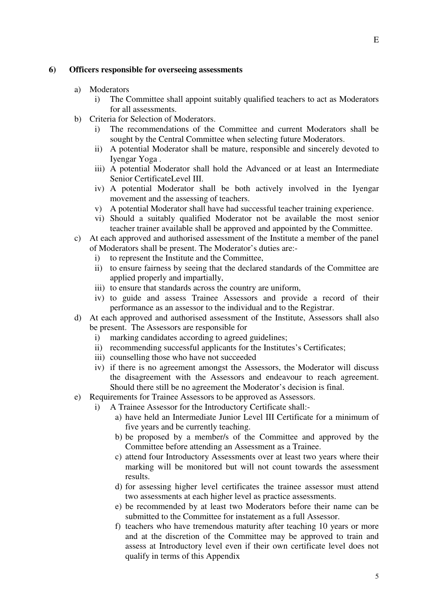#### **6) Officers responsible for overseeing assessments**

- a) Moderators
	- i) The Committee shall appoint suitably qualified teachers to act as Moderators for all assessments.
- b) Criteria for Selection of Moderators.
	- i) The recommendations of the Committee and current Moderators shall be sought by the Central Committee when selecting future Moderators.
	- ii) A potential Moderator shall be mature, responsible and sincerely devoted to Iyengar Yoga .
	- iii) A potential Moderator shall hold the Advanced or at least an Intermediate Senior CertificateLevel III.
	- iv) A potential Moderator shall be both actively involved in the Iyengar movement and the assessing of teachers.
	- v) A potential Moderator shall have had successful teacher training experience.
	- vi) Should a suitably qualified Moderator not be available the most senior teacher trainer available shall be approved and appointed by the Committee.
- c) At each approved and authorised assessment of the Institute a member of the panel of Moderators shall be present. The Moderator's duties are:
	- i) to represent the Institute and the Committee,
	- ii) to ensure fairness by seeing that the declared standards of the Committee are applied properly and impartially,
	- iii) to ensure that standards across the country are uniform,
	- iv) to guide and assess Trainee Assessors and provide a record of their performance as an assessor to the individual and to the Registrar.
- d) At each approved and authorised assessment of the Institute, Assessors shall also be present. The Assessors are responsible for
	- i) marking candidates according to agreed guidelines;
	- ii) recommending successful applicants for the Institutes's Certificates;
	- iii) counselling those who have not succeeded
	- iv) if there is no agreement amongst the Assessors, the Moderator will discuss the disagreement with the Assessors and endeavour to reach agreement. Should there still be no agreement the Moderator's decision is final.
- e) Requirements for Trainee Assessors to be approved as Assessors.
	- i) A Trainee Assessor for the Introductory Certificate shall:
		- a) have held an Intermediate Junior Level III Certificate for a minimum of five years and be currently teaching.
		- b) be proposed by a member/s of the Committee and approved by the Committee before attending an Assessment as a Trainee.
		- c) attend four Introductory Assessments over at least two years where their marking will be monitored but will not count towards the assessment results.
		- d) for assessing higher level certificates the trainee assessor must attend two assessments at each higher level as practice assessments.
		- e) be recommended by at least two Moderators before their name can be submitted to the Committee for instatement as a full Assessor.
		- f) teachers who have tremendous maturity after teaching 10 years or more and at the discretion of the Committee may be approved to train and assess at Introductory level even if their own certificate level does not qualify in terms of this Appendix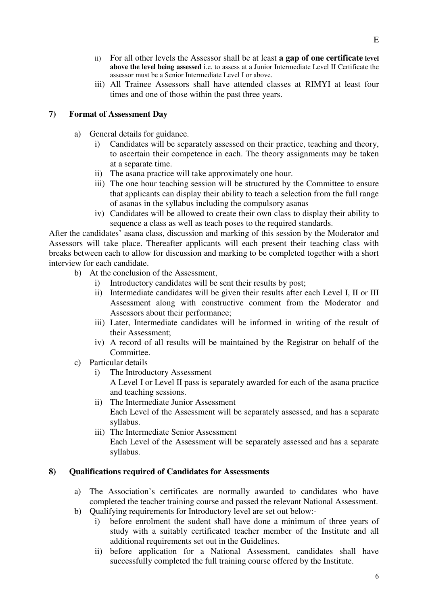- ii) For all other levels the Assessor shall be at least **a gap of one certificate level above the level being assessed** i.e. to assess at a Junior Intermediate Level II Certificate the assessor must be a Senior Intermediate Level I or above.
- iii) All Trainee Assessors shall have attended classes at RIMYI at least four times and one of those within the past three years.

### **7) Format of Assessment Day**

- a) General details for guidance.
	- i) Candidates will be separately assessed on their practice, teaching and theory, to ascertain their competence in each. The theory assignments may be taken at a separate time.
	- ii) The asana practice will take approximately one hour.
	- iii) The one hour teaching session will be structured by the Committee to ensure that applicants can display their ability to teach a selection from the full range of asanas in the syllabus including the compulsory asanas
	- iv) Candidates will be allowed to create their own class to display their ability to sequence a class as well as teach poses to the required standards.

After the candidates' asana class, discussion and marking of this session by the Moderator and Assessors will take place. Thereafter applicants will each present their teaching class with breaks between each to allow for discussion and marking to be completed together with a short interview for each candidate.

- b) At the conclusion of the Assessment,
	- i) Introductory candidates will be sent their results by post;
	- ii) Intermediate candidates will be given their results after each Level I, II or III Assessment along with constructive comment from the Moderator and Assessors about their performance;
	- iii) Later, Intermediate candidates will be informed in writing of the result of their Assessment;
	- iv) A record of all results will be maintained by the Registrar on behalf of the Committee.
- c) Particular details
	- i) The Introductory Assessment

A Level I or Level II pass is separately awarded for each of the asana practice and teaching sessions.

- ii) The Intermediate Junior Assessment Each Level of the Assessment will be separately assessed, and has a separate syllabus.
- iii) The Intermediate Senior Assessment Each Level of the Assessment will be separately assessed and has a separate syllabus.

### **8) Qualifications required of Candidates for Assessments**

- a) The Association's certificates are normally awarded to candidates who have completed the teacher training course and passed the relevant National Assessment.
- b) Qualifying requirements for Introductory level are set out below:
	- i) before enrolment the sudent shall have done a minimum of three years of study with a suitably certificated teacher member of the Institute and all additional requirements set out in the Guidelines.
	- ii) before application for a National Assessment, candidates shall have successfully completed the full training course offered by the Institute.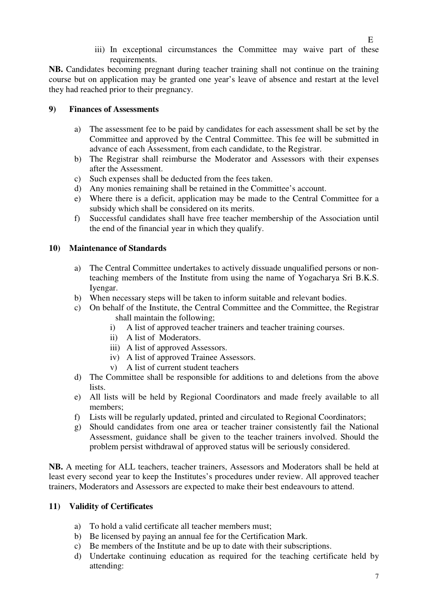E iii) In exceptional circumstances the Committee may waive part of these requirements.

**NB.** Candidates becoming pregnant during teacher training shall not continue on the training course but on application may be granted one year's leave of absence and restart at the level they had reached prior to their pregnancy.

## **9) Finances of Assessments**

- a) The assessment fee to be paid by candidates for each assessment shall be set by the Committee and approved by the Central Committee. This fee will be submitted in advance of each Assessment, from each candidate, to the Registrar.
- b) The Registrar shall reimburse the Moderator and Assessors with their expenses after the Assessment.
- c) Such expenses shall be deducted from the fees taken.
- d) Any monies remaining shall be retained in the Committee's account.
- e) Where there is a deficit, application may be made to the Central Committee for a subsidy which shall be considered on its merits.
- f) Successful candidates shall have free teacher membership of the Association until the end of the financial year in which they qualify.

### **10) Maintenance of Standards**

- a) The Central Committee undertakes to actively dissuade unqualified persons or nonteaching members of the Institute from using the name of Yogacharya Sri B.K.S. Iyengar.
- b) When necessary steps will be taken to inform suitable and relevant bodies.
- c) On behalf of the Institute, the Central Committee and the Committee, the Registrar shall maintain the following;
	- i) A list of approved teacher trainers and teacher training courses.
	- ii) A list of Moderators.
	- iii) A list of approved Assessors.
	- iv) A list of approved Trainee Assessors.
	- v) A list of current student teachers
- d) The Committee shall be responsible for additions to and deletions from the above lists.
- e) All lists will be held by Regional Coordinators and made freely available to all members;
- f) Lists will be regularly updated, printed and circulated to Regional Coordinators;
- g) Should candidates from one area or teacher trainer consistently fail the National Assessment, guidance shall be given to the teacher trainers involved. Should the problem persist withdrawal of approved status will be seriously considered.

**NB.** A meeting for ALL teachers, teacher trainers, Assessors and Moderators shall be held at least every second year to keep the Institutes's procedures under review. All approved teacher trainers, Moderators and Assessors are expected to make their best endeavours to attend.

# **11) Validity of Certificates**

- a) To hold a valid certificate all teacher members must;
- b) Be licensed by paying an annual fee for the Certification Mark.
- c) Be members of the Institute and be up to date with their subscriptions.
- d) Undertake continuing education as required for the teaching certificate held by attending: